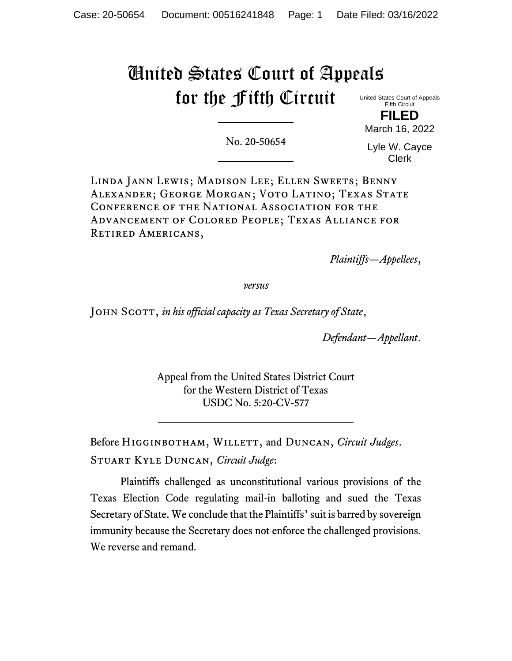# United States Court of Appeals for the Fifth Circuit

United States Court of Appeals Fifth Circuit

**FILED** March 16, 2022

No. 20-50654

Lyle W. Cayce Clerk

Linda Jann Lewis; Madison Lee; Ellen Sweets; Benny ALEXANDER; GEORGE MORGAN; VOTO LATINO; TEXAS STATE Conference of the National Association for the Advancement of Colored People; Texas Alliance for RETIRED AMERICANS,

*Plaintiffs—Appellees*,

*versus*

John Scott, *in his official capacity as Texas Secretary of State*,

*Defendant—Appellant*.

Appeal from the United States District Court for the Western District of Texas USDC No. 5:20-CV-577

Before Higginbotham, Willett, and Duncan, *Circuit Judges*. Stuart Kyle Duncan, *Circuit Judge*:

Plaintiffs challenged as unconstitutional various provisions of the Texas Election Code regulating mail-in balloting and sued the Texas Secretary of State. We conclude that the Plaintiffs' suit is barred by sovereign immunity because the Secretary does not enforce the challenged provisions. We reverse and remand.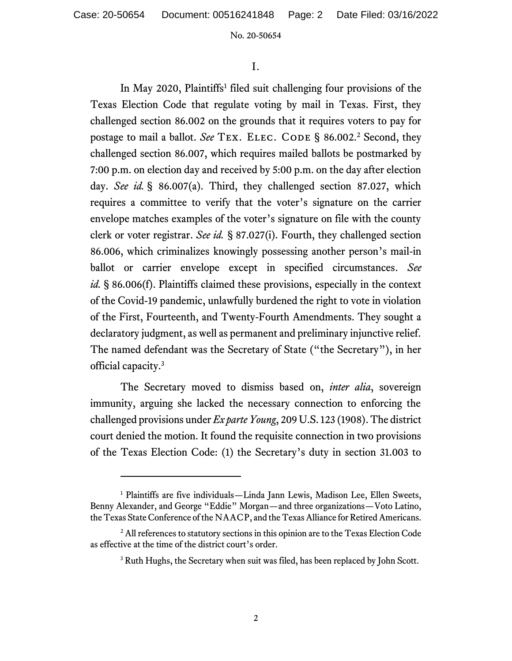## I.

In May 2020, Plaintiffs<sup>1</sup> filed suit challenging four provisions of the Texas Election Code that regulate voting by mail in Texas. First, they challenged section 86.002 on the grounds that it requires voters to pay for postage to mail a ballot. See TEX. ELEC. CODE § 86.002.<sup>2</sup> Second, they challenged section 86.007, which requires mailed ballots be postmarked by 7:00 p.m. on election day and received by 5:00 p.m. on the day after election day. *See id.* § 86.007(a). Third, they challenged section 87.027, which requires a committee to verify that the voter's signature on the carrier envelope matches examples of the voter's signature on file with the county clerk or voter registrar. *See id.* § 87.027(i). Fourth, they challenged section 86.006, which criminalizes knowingly possessing another person's mail-in ballot or carrier envelope except in specified circumstances. *See id.* § 86.006(f). Plaintiffs claimed these provisions, especially in the context of the Covid-19 pandemic, unlawfully burdened the right to vote in violation of the First, Fourteenth, and Twenty-Fourth Amendments. They sought a declaratory judgment, as well as permanent and preliminary injunctive relief. The named defendant was the Secretary of State ("the Secretary"), in her official capacity.<sup>3</sup>

The Secretary moved to dismiss based on, *inter alia*, sovereign immunity, arguing she lacked the necessary connection to enforcing the challenged provisions under *Ex parte Young*, 209 U.S. 123 (1908). The district court denied the motion. It found the requisite connection in two provisions of the Texas Election Code: (1) the Secretary's duty in section 31.003 to

<sup>&</sup>lt;sup>1</sup> Plaintiffs are five individuals—Linda Jann Lewis, Madison Lee, Ellen Sweets, Benny Alexander, and George "Eddie" Morgan—and three organizations—Voto Latino, the Texas State Conference of the NAACP, and the Texas Alliance for Retired Americans.

<sup>&</sup>lt;sup>2</sup> All references to statutory sections in this opinion are to the Texas Election Code as effective at the time of the district court's order.

<sup>&</sup>lt;sup>3</sup> Ruth Hughs, the Secretary when suit was filed, has been replaced by John Scott.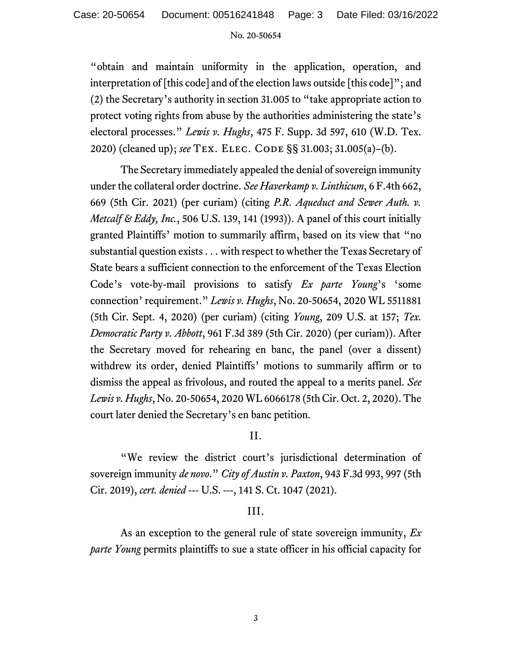"obtain and maintain uniformity in the application, operation, and interpretation of [this code] and of the election laws outside [this code]"; and (2) the Secretary's authority in section 31.005 to "take appropriate action to protect voting rights from abuse by the authorities administering the state's electoral processes." *Lewis v. Hughs*, 475 F. Supp. 3d 597, 610 (W.D. Tex. 2020) (cleaned up); *see* Tex. Elec. Code §§ 31.003; 31.005(a)–(b).

The Secretary immediately appealed the denial of sovereign immunity under the collateral order doctrine. *See Haverkamp v. Linthicum*, 6 F.4th 662, 669 (5th Cir. 2021) (per curiam) (citing *P.R. Aqueduct and Sewer Auth. v. Metcalf & Eddy, Inc.*, 506 U.S. 139, 141 (1993)). A panel of this court initially granted Plaintiffs' motion to summarily affirm, based on its view that "no substantial question exists . . . with respect to whether the Texas Secretary of State bears a sufficient connection to the enforcement of the Texas Election Code's vote-by-mail provisions to satisfy *Ex parte Young*'s 'some connection' requirement." *Lewis v. Hughs*, No. 20-50654, 2020 WL 5511881 (5th Cir. Sept. 4, 2020) (per curiam) (citing *Young*, 209 U.S. at 157; *Tex. Democratic Party v. Abbott*, 961 F.3d 389 (5th Cir. 2020) (per curiam)). After the Secretary moved for rehearing en banc, the panel (over a dissent) withdrew its order, denied Plaintiffs' motions to summarily affirm or to dismiss the appeal as frivolous, and routed the appeal to a merits panel. *See Lewis v. Hughs*, No. 20-50654, 2020 WL 6066178 (5th Cir. Oct. 2, 2020). The court later denied the Secretary's en banc petition.

# II.

"We review the district court's jurisdictional determination of sovereign immunity *de novo*." *City of Austin v. Paxton*, 943 F.3d 993, 997 (5th Cir. 2019), *cert. denied* --- U.S. ---, 141 S. Ct. 1047 (2021).

# III.

As an exception to the general rule of state sovereign immunity, *Ex parte Young* permits plaintiffs to sue a state officer in his official capacity for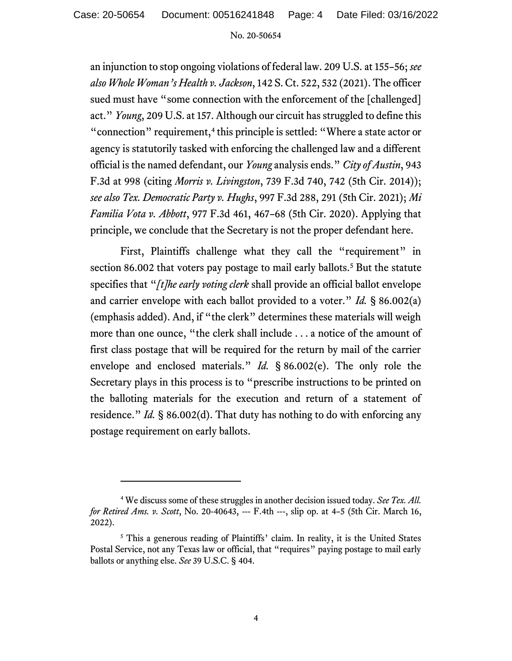an injunction to stop ongoing violations of federal law. 209 U.S. at 155–56; *see also Whole Woman's Health v. Jackson*, 142 S. Ct. 522, 532 (2021). The officer sued must have "some connection with the enforcement of the [challenged] act." *Young*, 209 U.S. at 157. Although our circuit has struggled to define this "connection" requirement,<sup>4</sup> this principle is settled: "Where a state actor or agency is statutorily tasked with enforcing the challenged law and a different official is the named defendant, our *Young* analysis ends." *City of Austin*, 943 F.3d at 998 (citing *Morris v. Livingston*, 739 F.3d 740, 742 (5th Cir. 2014)); *see also Tex. Democratic Party v. Hughs*, 997 F.3d 288, 291 (5th Cir. 2021); *Mi Familia Vota v. Abbott*, 977 F.3d 461, 467–68 (5th Cir. 2020). Applying that principle, we conclude that the Secretary is not the proper defendant here.

First, Plaintiffs challenge what they call the "requirement" in section 86.002 that voters pay postage to mail early ballots.<sup>5</sup> But the statute specifies that "*[t]he early voting clerk* shall provide an official ballot envelope and carrier envelope with each ballot provided to a voter." *Id.* § 86.002(a) (emphasis added). And, if "the clerk" determines these materials will weigh more than one ounce, "the clerk shall include . . . a notice of the amount of first class postage that will be required for the return by mail of the carrier envelope and enclosed materials." *Id.* § 86.002(e). The only role the Secretary plays in this process is to "prescribe instructions to be printed on the balloting materials for the execution and return of a statement of residence." *Id.* § 86.002(d). That duty has nothing to do with enforcing any postage requirement on early ballots.

<sup>4</sup> We discuss some of these struggles in another decision issued today. *See Tex. All. for Retired Ams. v. Scott*, No. 20-40643, --- F.4th ---, slip op. at 4–5 (5th Cir. March 16, 2022).

<sup>&</sup>lt;sup>5</sup> This a generous reading of Plaintiffs' claim. In reality, it is the United States Postal Service, not any Texas law or official, that "requires" paying postage to mail early ballots or anything else. *See* 39 U.S.C. § 404.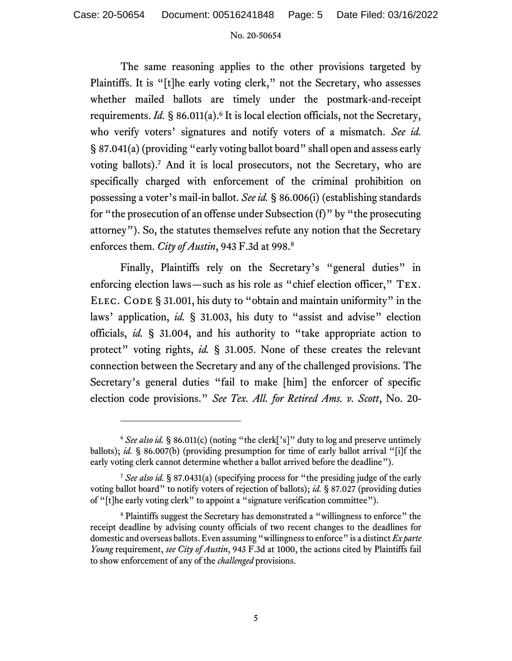The same reasoning applies to the other provisions targeted by Plaintiffs. It is "[t]he early voting clerk," not the Secretary, who assesses whether mailed ballots are timely under the postmark-and-receipt requirements. *Id*. § 86.011(a).<sup>6</sup> It is local election officials, not the Secretary, who verify voters' signatures and notify voters of a mismatch. *See id.* § 87.041(a) (providing "early voting ballot board" shall open and assess early voting ballots).<sup>7</sup> And it is local prosecutors, not the Secretary, who are specifically charged with enforcement of the criminal prohibition on possessing a voter's mail-in ballot. *See id.* § 86.006(i) (establishing standards for "the prosecution of an offense under Subsection (f)" by "the prosecuting attorney"). So, the statutes themselves refute any notion that the Secretary enforces them. *City of Austin*, 943 F.3d at 998.<sup>8</sup>

Finally, Plaintiffs rely on the Secretary's "general duties" in enforcing election laws—such as his role as "chief election officer," Tex. ELEC. CODE § 31.001, his duty to "obtain and maintain uniformity" in the laws' application, *id.* § 31.003, his duty to "assist and advise" election officials, *id.* § 31.004, and his authority to "take appropriate action to protect" voting rights, *id.* § 31.005. None of these creates the relevant connection between the Secretary and any of the challenged provisions. The Secretary's general duties "fail to make [him] the enforcer of specific election code provisions." *See Tex. All. for Retired Ams. v. Scott*, No. 20-

<sup>&</sup>lt;sup>6</sup> See also id. § 86.011(c) (noting "the clerk['s]" duty to log and preserve untimely ballots); *id.* § 86.007(b) (providing presumption for time of early ballot arrival "[i]f the early voting clerk cannot determine whether a ballot arrived before the deadline").

<sup>7</sup> *See also id.* § 87.0431(a) (specifying process for "the presiding judge of the early voting ballot board" to notify voters of rejection of ballots); *id.* § 87.027 (providing duties of "[t]he early voting clerk" to appoint a "signature verification committee").

<sup>&</sup>lt;sup>8</sup> Plaintiffs suggest the Secretary has demonstrated a "willingness to enforce" the receipt deadline by advising county officials of two recent changes to the deadlines for domestic and overseas ballots. Even assuming "willingness to enforce" is a distinct *Ex parte Young* requirement, *see City of Austin*, 943 F.3d at 1000, the actions cited by Plaintiffs fail to show enforcement of any of the *challenged* provisions.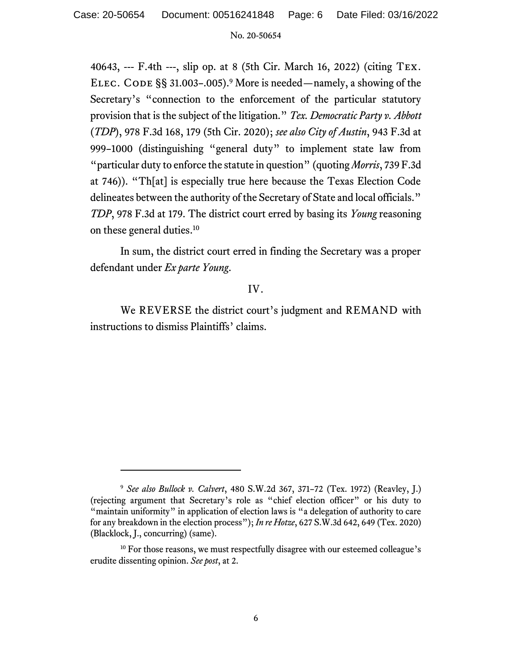40643, --- F.4th ---, slip op. at 8 (5th Cir. March 16, 2022) (citing Tex. ELEC. CODE  $\S$ § 31.003–.005).<sup>9</sup> More is needed—namely, a showing of the Secretary's "connection to the enforcement of the particular statutory provision that is the subject of the litigation." *Tex. Democratic Party v. Abbott* (*TDP*), 978 F.3d 168, 179 (5th Cir. 2020); *see also City of Austin*, 943 F.3d at 999–1000 (distinguishing "general duty" to implement state law from "particular duty to enforce the statute in question" (quoting *Morris*, 739 F.3d at 746)). "Th[at] is especially true here because the Texas Election Code delineates between the authority of the Secretary of State and local officials." *TDP*, 978 F.3d at 179. The district court erred by basing its *Young* reasoning on these general duties. 10

In sum, the district court erred in finding the Secretary was a proper defendant under *Ex parte Young*.

# IV.

We REVERSE the district court's judgment and REMAND with instructions to dismiss Plaintiffs' claims.

<sup>9</sup> *See also Bullock v. Calvert*, 480 S.W.2d 367, 371–72 (Tex. 1972) (Reavley, J.) (rejecting argument that Secretary's role as "chief election officer" or his duty to "maintain uniformity" in application of election laws is "a delegation of authority to care for any breakdown in the election process"); *In re Hotze*, 627 S.W.3d 642, 649 (Tex. 2020) (Blacklock, J., concurring) (same).

<sup>&</sup>lt;sup>10</sup> For those reasons, we must respectfully disagree with our esteemed colleague's erudite dissenting opinion. *See post*, at 2.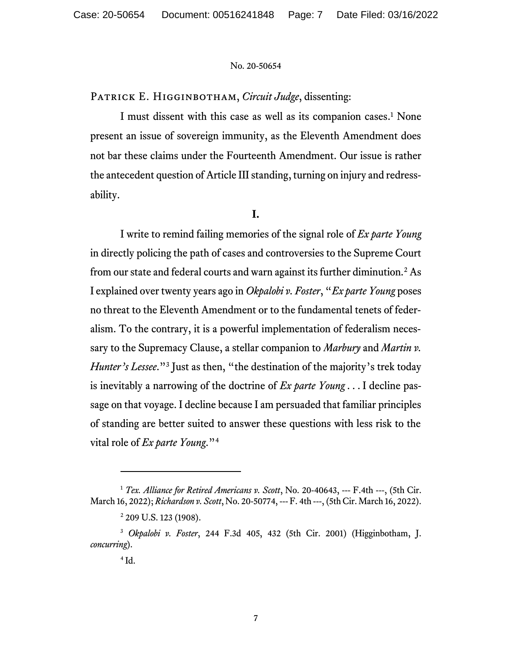PATRICK E. HIGGINBOTHAM, *Circuit Judge*, dissenting:

I must dissent with this case as well as its companion cases.<sup>1</sup> None present an issue of sovereign immunity, as the Eleventh Amendment does not bar these claims under the Fourteenth Amendment. Our issue is rather the antecedent question of Article III standing, turning on injury and redressability.

#### **I.**

I write to remind failing memories of the signal role of *Ex parte Young* in directly policing the path of cases and controversies to the Supreme Court from our state and federal courts and warn against its further diminution.<sup>2</sup> As I explained over twenty years ago in *Okpalobi v. Foster*, "*Ex parte Young* poses no threat to the Eleventh Amendment or to the fundamental tenets of federalism. To the contrary, it is a powerful implementation of federalism necessary to the Supremacy Clause, a stellar companion to *Marbury* and *Martin v. Hunter's Lessee*."<sup>3</sup> Just as then, "the destination of the majority's trek today is inevitably a narrowing of the doctrine of *Ex parte Young* . . . I decline passage on that voyage. I decline because I am persuaded that familiar principles of standing are better suited to answer these questions with less risk to the vital role of *Ex parte Young*."<sup>4</sup>

<sup>1</sup> *Tex. Alliance for Retired Americans v. Scott*, No. 20-40643, --- F.4th ---, (5th Cir. March 16, 2022); *Richardson v. Scott*, No. 20-50774, --- F. 4th ---, (5th Cir. March 16, 2022).

<sup>&</sup>lt;sup>2</sup> 209 U.S. 123 (1908).

<sup>3</sup> *Okpalobi v. Foster*, 244 F.3d 405, 432 (5th Cir. 2001) (Higginbotham, J. *concurring*).

 $4$  Id.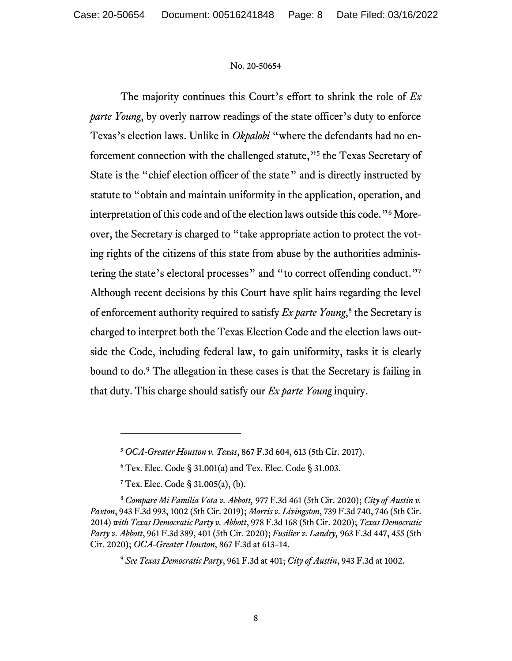The majority continues this Court's effort to shrink the role of *Ex parte Young*, by overly narrow readings of the state officer's duty to enforce Texas's election laws. Unlike in *Okpalobi* "where the defendants had no enforcement connection with the challenged statute,"<sup>5</sup> the Texas Secretary of State is the "chief election officer of the state" and is directly instructed by statute to "obtain and maintain uniformity in the application, operation, and interpretation of this code and of the election laws outside this code."<sup>6</sup> Moreover, the Secretary is charged to "take appropriate action to protect the voting rights of the citizens of this state from abuse by the authorities administering the state's electoral processes" and "to correct offending conduct."<sup>7</sup> Although recent decisions by this Court have split hairs regarding the level of enforcement authority required to satisfy *Ex parte Young*, 8 the Secretary is charged to interpret both the Texas Election Code and the election laws outside the Code, including federal law, to gain uniformity, tasks it is clearly bound to do. <sup>9</sup> The allegation in these cases is that the Secretary is failing in that duty. This charge should satisfy our *Ex parte Young* inquiry.

<sup>5</sup> *OCA-Greater Houston v. Texas*, 867 F.3d 604, 613 (5th Cir. 2017).

<sup>6</sup> Tex. Elec. Code § 31.001(a) and Tex. Elec. Code § 31.003.

 $7$  Tex. Elec. Code § 31.005(a), (b).

<sup>8</sup> *Compare Mi Familia Vota v. Abbott,* 977 F.3d 461 (5th Cir. 2020); *City of Austin v. Paxton*, 943 F.3d 993, 1002 (5th Cir. 2019); *Morris v. Livingston*, 739 F.3d 740, 746 (5th Cir. 2014) *with Texas Democratic Party v. Abbott*, 978 F.3d 168 (5th Cir. 2020); *Texas Democratic Party v. Abbott*, 961 F.3d 389, 401 (5th Cir. 2020); *Fusilier v. Landry,* 963 F.3d 447, 455 (5th Cir. 2020); *OCA-Greater Houston*, 867 F.3d at 613–14.

<sup>9</sup> *See Texas Democratic Party*, 961 F.3d at 401; *City of Austin*, 943 F.3d at 1002.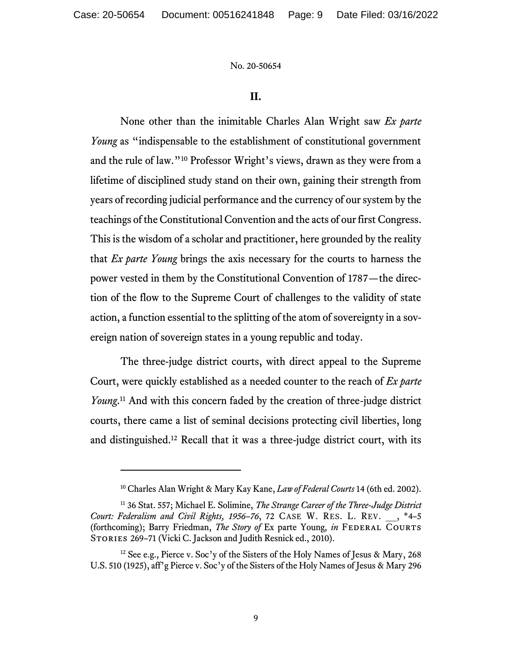## **II.**

None other than the inimitable Charles Alan Wright saw *Ex parte Young* as "indispensable to the establishment of constitutional government and the rule of law."<sup>10</sup> Professor Wright's views, drawn as they were from a lifetime of disciplined study stand on their own, gaining their strength from years of recording judicial performance and the currency of our system by the teachings of the Constitutional Convention and the acts of our first Congress. This is the wisdom of a scholar and practitioner, here grounded by the reality that *Ex parte Young* brings the axis necessary for the courts to harness the power vested in them by the Constitutional Convention of 1787—the direction of the flow to the Supreme Court of challenges to the validity of state action, a function essential to the splitting of the atom of sovereignty in a sovereign nation of sovereign states in a young republic and today.

The three-judge district courts, with direct appeal to the Supreme Court, were quickly established as a needed counter to the reach of *Ex parte Young*. <sup>11</sup> And with this concern faded by the creation of three-judge district courts, there came a list of seminal decisions protecting civil liberties, long and distinguished.<sup>12</sup> Recall that it was a three-judge district court, with its

<sup>10</sup> Charles Alan Wright & Mary Kay Kane, *Law of Federal Courts* 14 (6th ed. 2002).

<sup>11</sup> 36 Stat. 557; Michael E. Solimine, *The Strange Career of the Three-Judge District Court: Federalism and Civil Rights, 1956–76*, 72 CASE W. RES. L. REV. \_\_, \*4–5 (forthcoming); Barry Friedman, *The Story of* Ex parte Young*, in* Federal Courts STORIES 269-71 (Vicki C. Jackson and Judith Resnick ed., 2010).

<sup>&</sup>lt;sup>12</sup> See e.g., Pierce v. Soc'y of the Sisters of the Holy Names of Jesus & Mary, 268 U.S. 510 (1925), aff'g Pierce v. Soc'y of the Sisters of the Holy Names of Jesus & Mary 296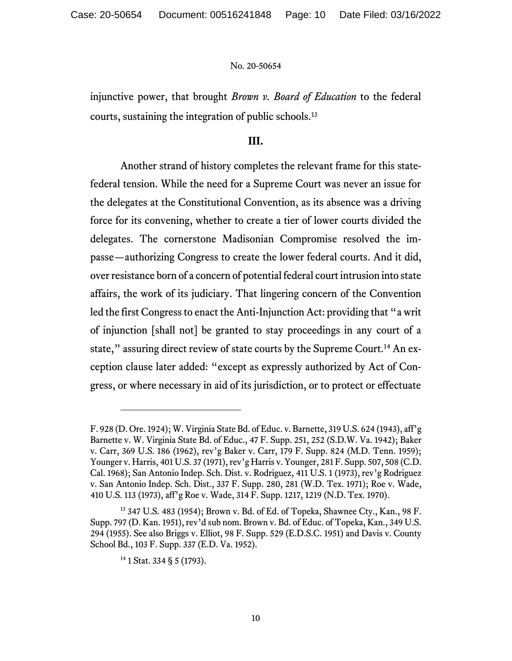injunctive power, that brought *Brown v. Board of Education* to the federal courts, sustaining the integration of public schools.<sup>13</sup>

### **III.**

Another strand of history completes the relevant frame for this statefederal tension. While the need for a Supreme Court was never an issue for the delegates at the Constitutional Convention, as its absence was a driving force for its convening, whether to create a tier of lower courts divided the delegates. The cornerstone Madisonian Compromise resolved the impasse—authorizing Congress to create the lower federal courts. And it did, over resistance born of a concern of potential federal court intrusion into state affairs, the work of its judiciary. That lingering concern of the Convention led the first Congress to enact the Anti-Injunction Act: providing that "a writ of injunction [shall not] be granted to stay proceedings in any court of a state," assuring direct review of state courts by the Supreme Court.<sup>14</sup> An exception clause later added: "except as expressly authorized by Act of Congress, or where necessary in aid of its jurisdiction, or to protect or effectuate

F. 928 (D. Ore. 1924); W. Virginia State Bd. of Educ. v. Barnette, 319 U.S. 624 (1943), aff'g Barnette v. W. Virginia State Bd. of Educ., 47 F. Supp. 251, 252 (S.D.W. Va. 1942); Baker v. Carr, 369 U.S. 186 (1962), rev'g Baker v. Carr, 179 F. Supp. 824 (M.D. Tenn. 1959); Younger v. Harris, 401 U.S. 37 (1971), rev'g Harris v. Younger, 281 F. Supp. 507, 508 (C.D. Cal. 1968); San Antonio Indep. Sch. Dist. v. Rodriguez, 411 U.S. 1 (1973), rev'g Rodriguez v. San Antonio Indep. Sch. Dist., 337 F. Supp. 280, 281 (W.D. Tex. 1971); Roe v. Wade, 410 U.S. 113 (1973), aff'g Roe v. Wade, 314 F. Supp. 1217, 1219 (N.D. Tex. 1970).

<sup>13</sup> 347 U.S. 483 (1954); Brown v. Bd. of Ed. of Topeka, Shawnee Cty., Kan., 98 F. Supp. 797 (D. Kan. 1951), rev'd sub nom. Brown v. Bd. of Educ. of Topeka, Kan., 349 U.S. 294 (1955). See also Briggs v. Elliot, 98 F. Supp. 529 (E.D.S.C. 1951) and Davis v. County School Bd., 103 F. Supp. 337 (E.D. Va. 1952).

 $14$  1 Stat. 334 § 5 (1793).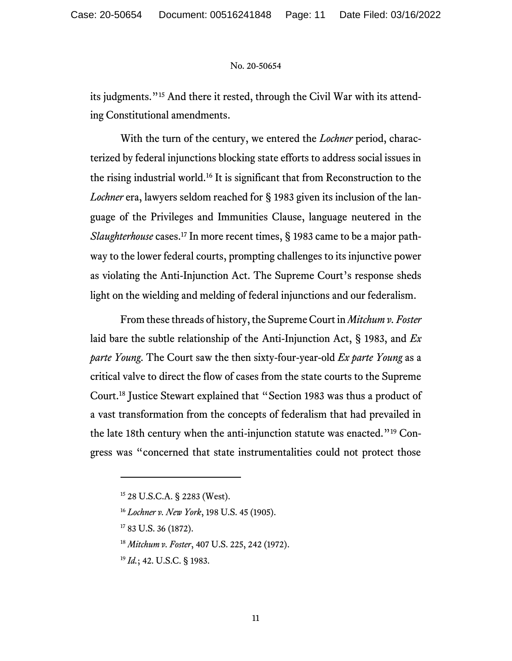its judgments."<sup>15</sup> And there it rested, through the Civil War with its attending Constitutional amendments.

With the turn of the century, we entered the *Lochner* period, characterized by federal injunctions blocking state efforts to address social issues in the rising industrial world.<sup>16</sup> It is significant that from Reconstruction to the *Lochner* era, lawyers seldom reached for § 1983 given its inclusion of the language of the Privileges and Immunities Clause, language neutered in the *Slaughterhouse* cases.<sup>17</sup> In more recent times, § 1983 came to be a major pathway to the lower federal courts, prompting challenges to its injunctive power as violating the Anti-Injunction Act. The Supreme Court's response sheds light on the wielding and melding of federal injunctions and our federalism.

From these threads of history, the Supreme Court in *Mitchum v. Foster* laid bare the subtle relationship of the Anti-Injunction Act, § 1983, and *Ex parte Young*. The Court saw the then sixty-four-year-old *Ex parte Young* as a critical valve to direct the flow of cases from the state courts to the Supreme Court.<sup>18</sup> Justice Stewart explained that "Section 1983 was thus a product of a vast transformation from the concepts of federalism that had prevailed in the late 18th century when the anti-injunction statute was enacted."<sup>19</sup> Congress was "concerned that state instrumentalities could not protect those

<sup>15</sup> 28 U.S.C.A. § 2283 (West).

<sup>16</sup> *Lochner v. New York*, 198 U.S. 45 (1905).

<sup>17</sup> 83 U.S. 36 (1872).

<sup>18</sup> *Mitchum v. Foster*, 407 U.S. 225, 242 (1972).

<sup>19</sup> *Id.*; 42. U.S.C. § 1983.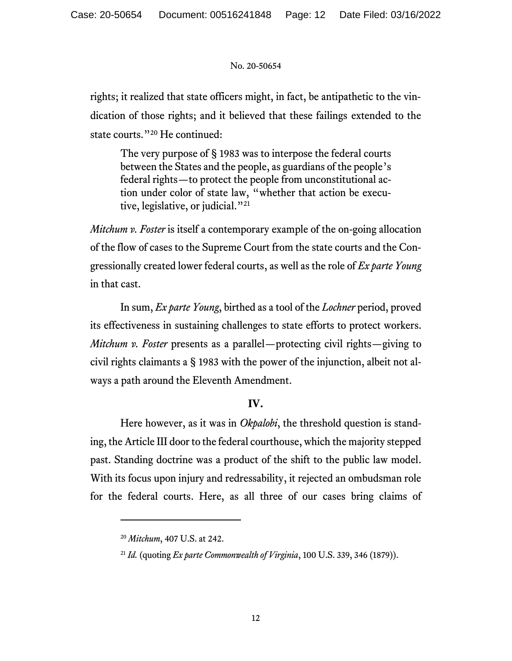rights; it realized that state officers might, in fact, be antipathetic to the vindication of those rights; and it believed that these failings extended to the state courts."<sup>20</sup> He continued:

The very purpose of § 1983 was to interpose the federal courts between the States and the people, as guardians of the people's federal rights—to protect the people from unconstitutional action under color of state law, "whether that action be executive, legislative, or judicial."<sup>21</sup>

*Mitchum v. Foster* is itself a contemporary example of the on-going allocation of the flow of cases to the Supreme Court from the state courts and the Congressionally created lower federal courts, as well as the role of *Ex parte Young*  in that cast.

In sum, *Ex parte Young*, birthed as a tool of the *Lochner* period, proved its effectiveness in sustaining challenges to state efforts to protect workers. *Mitchum v. Foster* presents as a parallel—protecting civil rights—giving to civil rights claimants a § 1983 with the power of the injunction, albeit not always a path around the Eleventh Amendment.

# **IV.**

Here however, as it was in *Okpalobi*, the threshold question is standing, the Article III door to the federal courthouse, which the majority stepped past. Standing doctrine was a product of the shift to the public law model. With its focus upon injury and redressability, it rejected an ombudsman role for the federal courts. Here, as all three of our cases bring claims of

<sup>20</sup> *Mitchum*, 407 U.S. at 242.

<sup>21</sup> *Id.* (quoting *Ex parte Commonwealth of Virginia*, 100 U.S. 339, 346 (1879)).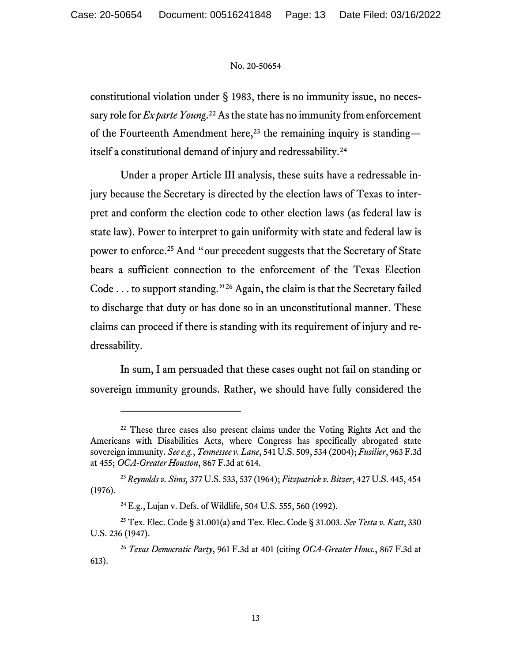constitutional violation under § 1983, there is no immunity issue, no necessary role for *Ex parte Young*.<sup>22</sup> As the state has no immunity from enforcement of the Fourteenth Amendment here,<sup>23</sup> the remaining inquiry is standing itself a constitutional demand of injury and redressability.<sup>24</sup>

Under a proper Article III analysis, these suits have a redressable injury because the Secretary is directed by the election laws of Texas to interpret and conform the election code to other election laws (as federal law is state law). Power to interpret to gain uniformity with state and federal law is power to enforce.<sup>25</sup> And "our precedent suggests that the Secretary of State bears a sufficient connection to the enforcement of the Texas Election Code . . . to support standing."<sup>26</sup> Again, the claim is that the Secretary failed to discharge that duty or has done so in an unconstitutional manner. These claims can proceed if there is standing with its requirement of injury and redressability.

In sum, I am persuaded that these cases ought not fail on standing or sovereign immunity grounds. Rather, we should have fully considered the

 $22$  These three cases also present claims under the Voting Rights Act and the Americans with Disabilities Acts, where Congress has specifically abrogated state sovereign immunity. *See e.g.*, *Tennessee v. Lane*, 541 U.S. 509, 534 (2004); *Fusilier*, 963 F.3d at 455; *OCA-Greater Houston*, 867 F.3d at 614.

<sup>23</sup> *Reynolds v. Sims,* 377 U.S. 533, 537 (1964); *Fitzpatrick v. Bitzer*, 427 U.S. 445, 454 (1976).

<sup>24</sup> E.g., Lujan v. Defs. of Wildlife, 504 U.S. 555, 560 (1992).

<sup>25</sup> Tex. Elec. Code § 31.001(a) and Tex. Elec. Code § 31.003. *See Testa v. Katt*, 330 U.S. 236 (1947).

<sup>26</sup> *Texas Democratic Party*, 961 F.3d at 401 (citing *OCA-Greater Hous.*, 867 F.3d at 613).